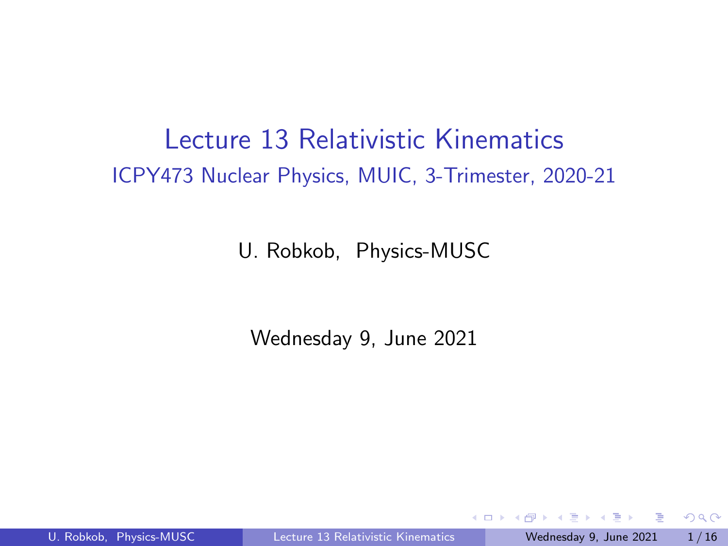## <span id="page-0-0"></span>Lecture 13 Relativistic Kinematics ICPY473 Nuclear Physics, MUIC, 3-Trimester, 2020-21

U. Robkob, Physics-MUSC

Wednesday 9, June 2021

 $\blacksquare$ 

 $QQ$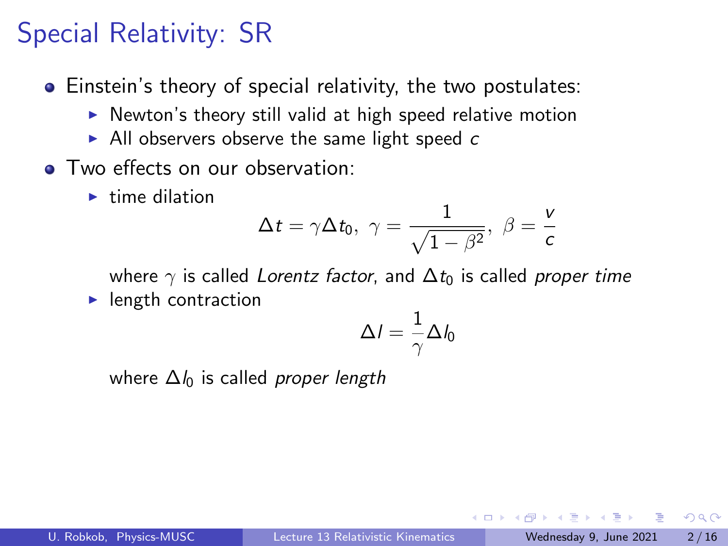# Special Relativity: SR

- Einstein's theory of special relativity, the two postulates:
	- $\triangleright$  Newton's theory still valid at high speed relative motion
	- $\blacktriangleright$  All observers observe the same light speed c
- **Two effects on our observation:** 
	- $\blacktriangleright$  time dilation

$$
\Delta t = \gamma \Delta t_0, \ \gamma = \frac{1}{\sqrt{1 - \beta^2}}, \ \beta = \frac{v}{c}
$$

where  $\gamma$  is called Lorentz factor, and  $\Delta t_0$  is called proper time

 $\blacktriangleright$  length contraction

$$
\Delta I = \frac{1}{\gamma} \Delta I_0
$$

where  $\Delta l_0$  is called *proper length*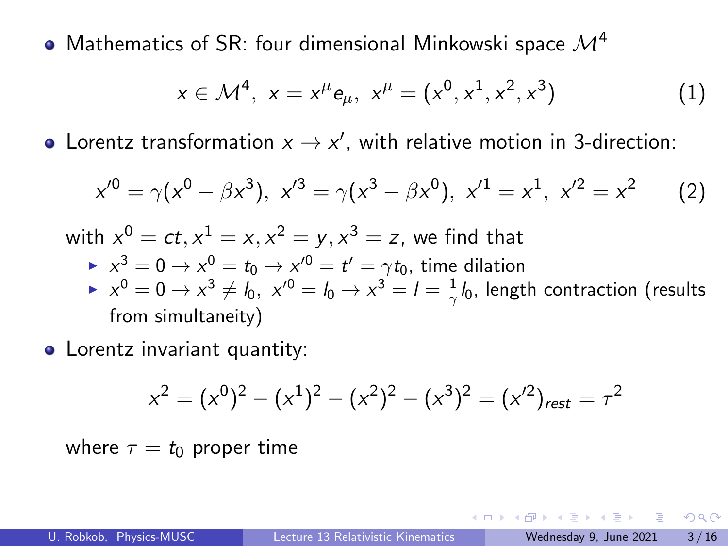• Mathematics of SR: four dimensional Minkowski space  $\mathcal{M}^4$ 

$$
x \in \mathcal{M}^4, \ x = x^{\mu} e_{\mu}, \ x^{\mu} = (x^0, x^1, x^2, x^3) \tag{1}
$$

Lorentz transformation  $x \to x'$ , with relative motion in 3-direction:

$$
x'^0 = \gamma(x^0 - \beta x^3), \ x'^3 = \gamma(x^3 - \beta x^0), \ x'^1 = x^1, \ x'^2 = x^2 \qquad (2)
$$

with  $x^0=ct, x^1=x, x^2=y, x^3=z$ , we find that  $\blacktriangleright$   $x^3 = 0 \rightarrow x^0 = t_0 \rightarrow x'^0 = t' = \gamma t_0$ , time dilation  $\blacktriangleright \;$   $x^0=0 \rightarrow x^3 \neq l_0, \; x'^0=l_0 \rightarrow x^3=l=\frac{1}{\gamma}l_0.$  length contraction (results from simultaneity)

• Lorentz invariant quantity:

$$
x^{2} = (x^{0})^{2} - (x^{1})^{2} - (x^{2})^{2} - (x^{3})^{2} = (x'^{2})_{rest} = \tau^{2}
$$

where  $\tau = t_0$  proper time

 $QQQ$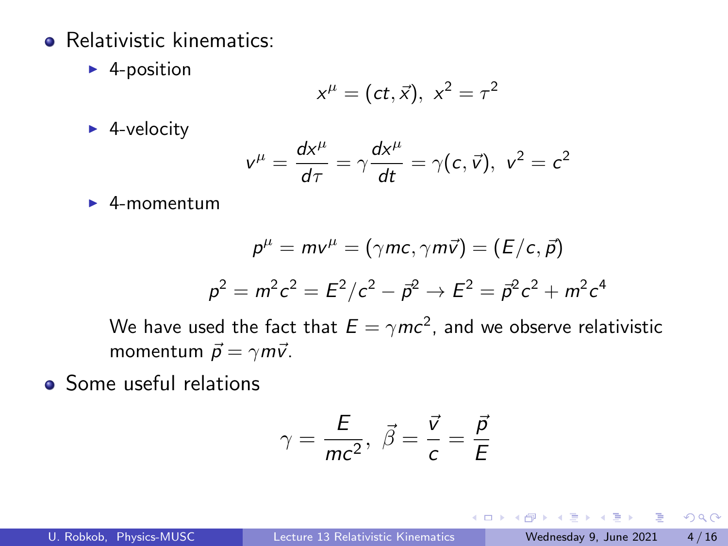- **e** Relativistic kinematics:
	- $\blacktriangleright$  4-position

$$
x^{\mu}=(ct,\vec{x}), x^2=\tau^2
$$

 $\blacktriangleright$  4-velocity

$$
v^{\mu} = \frac{dx^{\mu}}{d\tau} = \gamma \frac{dx^{\mu}}{dt} = \gamma(c, \vec{v}), \ v^2 = c^2
$$

 $\blacktriangleright$  4-momentum

$$
p^{\mu} = m v^{\mu} = (\gamma mc, \gamma m \vec{v}) = (E/c, \vec{p})
$$

$$
p^2 = m^2 c^2 = E^2/c^2 - \vec{p}^2 \rightarrow E^2 = \vec{p}^2 c^2 + m^2 c^4
$$

We have used the fact that  $E=\gamma mc^2$ , and we observe relativistic momentum  $\vec{p} = \gamma m \vec{v}$ .

• Some useful relations

$$
\gamma = \frac{E}{mc^2}, \ \vec{\beta} = \frac{\vec{v}}{c} = \frac{\vec{p}}{E}
$$

4 0 F

 $QQ$ 

目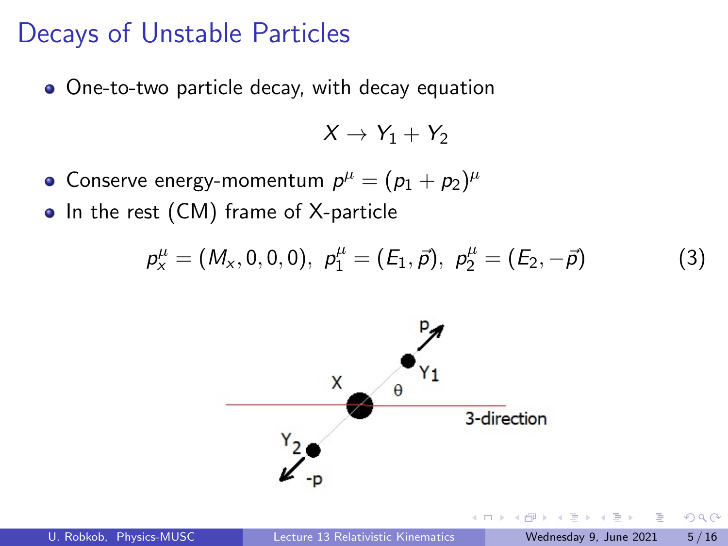#### Decays of Unstable Particles

One-to-two particle decay, with decay equation

 $X \rightarrow Y_1 + Y_2$ 

Conserve energy-momentum  $\rho^\mu=(p_1+p_2)^\mu$ 

• In the rest (CM) frame of X-particle

$$
p_x^{\mu} = (M_x, 0, 0, 0), \ p_1^{\mu} = (E_1, \vec{p}), \ p_2^{\mu} = (E_2, -\vec{p})
$$
(3)

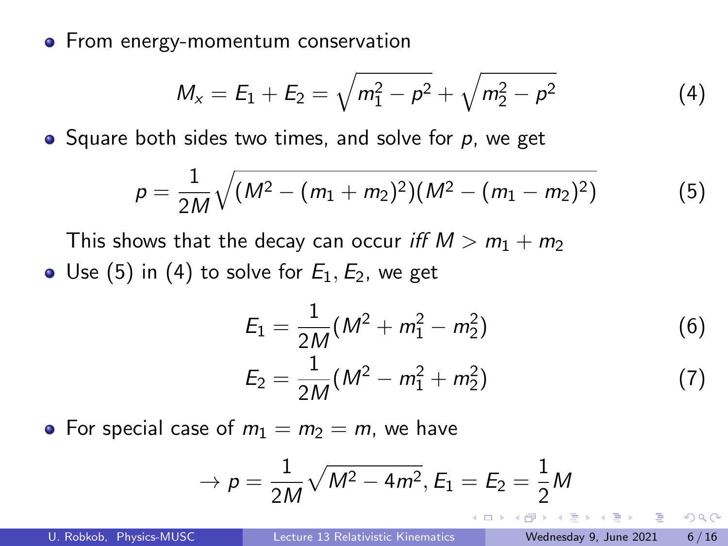**•** From energy-momentum conservation

$$
M_x = E_1 + E_2 = \sqrt{m_1^2 - p^2} + \sqrt{m_2^2 - p^2}
$$
 (4)

 $\bullet$  Square both sides two times, and solve for p, we get

$$
p = \frac{1}{2M}\sqrt{(M^2 - (m_1 + m_2)^2)(M^2 - (m_1 - m_2)^2)}
$$
(5)

This shows that the decay can occur iff  $M > m_1 + m_2$ • Use (5) in (4) to solve for  $E_1, E_2$ , we get

$$
E_1 = \frac{1}{2M}(M^2 + m_1^2 - m_2^2)
$$
\n
$$
E_2 = \frac{1}{2M}(M^2 - m_1^2 + m_2^2)
$$
\n(6)

• For special case of  $m_1 = m_2 = m$ , we have

$$
\rightarrow p = \frac{1}{2M} \sqrt{M^2 - 4m^2}, E_1 = E_2 = \frac{1}{2}M
$$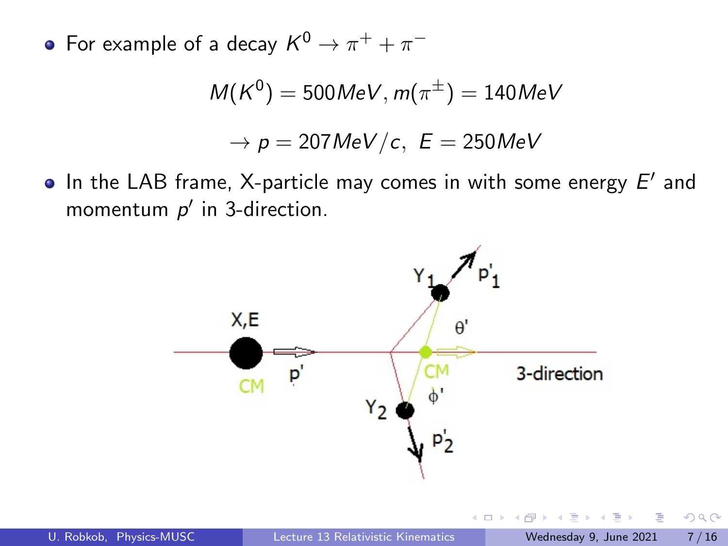For example of a decay  $K^0 \rightarrow \pi^+ + \pi^-$ 

$$
M(K^0)=500MeV, m(\pi^{\pm})=140MeV
$$

$$
\rightarrow p = 207 MeV/c, \,\, E = 250 MeV
$$

In the LAB frame, X-particle may comes in with some energy  $E'$  and momentum  $p'$  in 3-direction.



 $-111$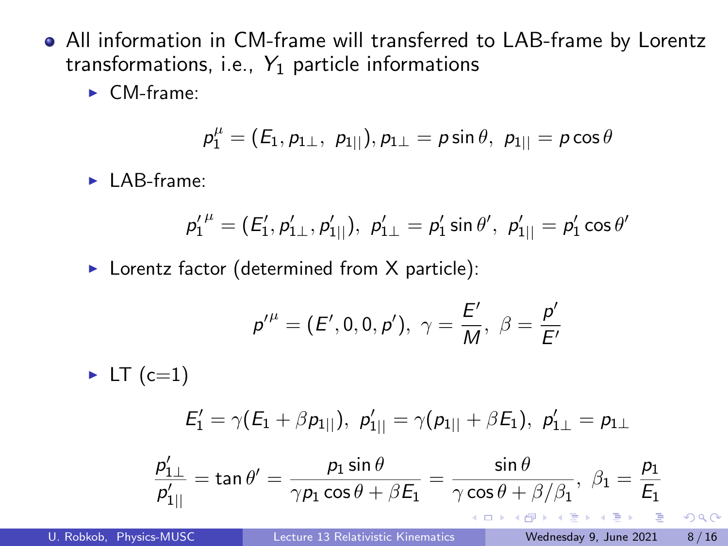- All information in CM-frame will transferred to LAB-frame by Lorentz transformations, i.e.,  $Y_1$  particle informations
	- $\blacktriangleright$  CM-frame:

$$
p_1^\mu = (E_1, p_{1\perp}, p_{1||}), p_{1\perp} = p \sin \theta, p_{1||} = p \cos \theta
$$

 $\blacktriangleright$  LAB-frame:

$$
{p'_1}^\mu = ({E'_1},{p'_1}_\perp,{p'_1}_\parallel),\,\, p'_1_\perp = p'_1\sin\theta',\,\, p'_{1\parallel} = p'_1\cos\theta'
$$

 $\blacktriangleright$  Lorentz factor (determined from X particle):

$$
p'' = (E', 0, 0, p'), \ \gamma = \frac{E'}{M}, \ \beta = \frac{p'}{E'}
$$

 $\blacktriangleright$  LT (c=1)  $\mathcal{E}_1' = \gamma(\mathcal{E}_1 + \beta p_{1||}), \; \mathcal{p}_{1||}' = \gamma(p_{1||} + \beta \mathcal{E}_1), \; \mathcal{p}_{1\perp}' = p_{1\perp}$ 

$$
\frac{p'_{1\perp}}{p'_{1||}} = \tan \theta' = \frac{p_1 \sin \theta}{\gamma p_1 \cos \theta + \beta E_1} = \frac{\sin \theta}{\gamma \cos \theta + \beta/\beta_1}, \ \beta_1 = \frac{p_1}{E_1}
$$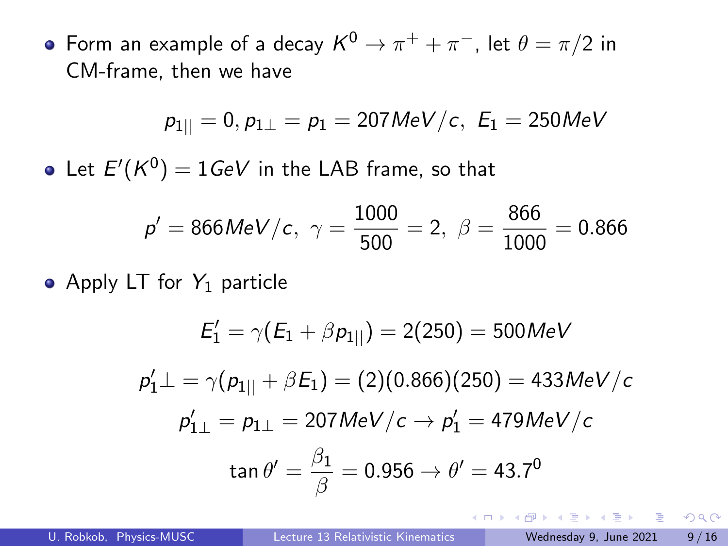Form an example of a decay  $\mathcal{K}^{0}\rightarrow\pi^{+}+\pi^{-}$ , let  $\theta=\pi/2$  in CM-frame, then we have

$$
p_{1||}=0, p_{1\perp}=p_1=207\text{MeV}/c, \ E_1=250\text{MeV}
$$

Let  $E^\prime(\mathcal{K}^0)=1$ GeV in the LAB frame, so that

$$
p' = 866 MeV/c
$$
,  $\gamma = \frac{1000}{500} = 2$ ,  $\beta = \frac{866}{1000} = 0.866$ 

• Apply LT for  $Y_1$  particle

$$
E'_1 = \gamma (E_1 + \beta p_{1||}) = 2(250) = 500 MeV
$$
  
\n
$$
p'_1 \perp = \gamma (p_{1||} + \beta E_1) = (2)(0.866)(250) = 433 MeV/c
$$
  
\n
$$
p'_{1\perp} = p_{1\perp} = 207 MeV/c \rightarrow p'_1 = 479 MeV/c
$$
  
\n
$$
\tan \theta' = \frac{\beta_1}{\beta} = 0.956 \rightarrow \theta' = 43.7^0
$$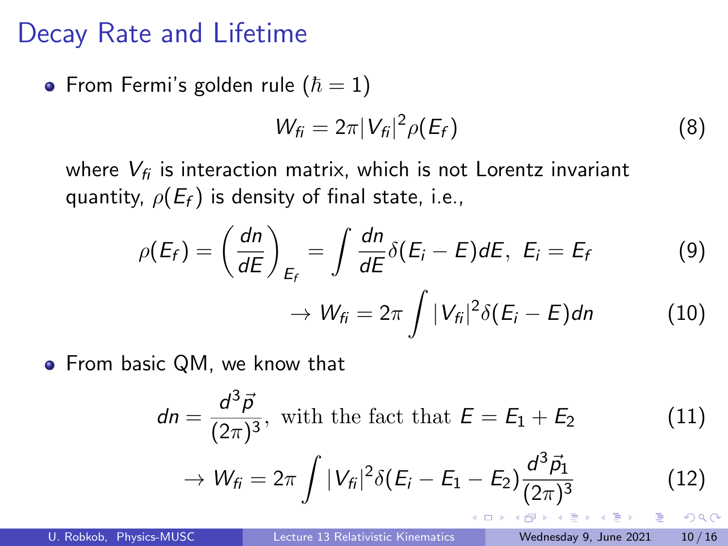### Decay Rate and Lifetime

• From Fermi's golden rule  $(\hbar = 1)$ 

$$
W_{fi} = 2\pi |V_{fi}|^2 \rho(E_f)
$$
 (8)

where  $V_{fi}$  is interaction matrix, which is not Lorentz invariant quantity,  $\rho(E_f)$  is density of final state, i.e.,

$$
\rho(E_f) = \left(\frac{dn}{dE}\right)_{E_f} = \int \frac{dn}{dE} \delta(E_i - E) dE, \ E_i = E_f \tag{9}
$$

$$
\rightarrow W_{fi}=2\pi\int|V_{fi}|^2\delta(E_i-E)dn \qquad (10)
$$

• From basic QM, we know that

$$
dn = \frac{d^3 \vec{p}}{(2\pi)^3}, \text{ with the fact that } E = E_1 + E_2 \qquad (11)
$$

$$
\to W_{fi} = 2\pi \int |V_{fi}|^2 \delta(E_i - E_1 - E_2) \frac{d^3 \vec{p}_1}{(2\pi)^3} \qquad (12)
$$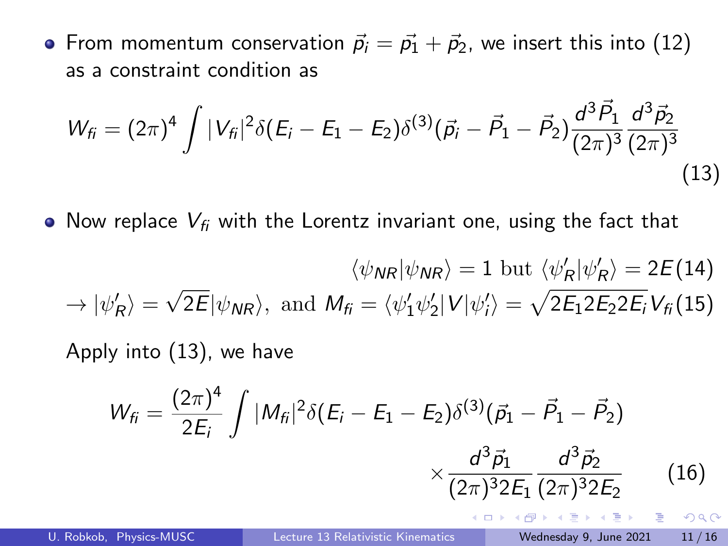• From momentum conservation  $\vec{p}_i = \vec{p}_1 + \vec{p}_2$ , we insert this into (12) as a constraint condition as

$$
W_{fi} = (2\pi)^4 \int |V_{fi}|^2 \delta(E_i - E_1 - E_2) \delta^{(3)}(\vec{p}_i - \vec{P}_1 - \vec{P}_2) \frac{d^3 \vec{P}_1}{(2\pi)^3} \frac{d^3 \vec{P}_2}{(2\pi)^3}
$$
(13)

• Now replace  $V_{fi}$  with the Lorentz invariant one, using the fact that

$$
\langle \psi_{\text{NR}} | \psi_{\text{NR}} \rangle = 1 \text{ but } \langle \psi'_{\text{R}} | \psi'_{\text{R}} \rangle = 2E(14)
$$
  
\n
$$
\rightarrow |\psi'_{\text{R}}\rangle = \sqrt{2E} |\psi_{\text{NR}}\rangle, \text{ and } M_{\text{fi}} = \langle \psi'_1 \psi'_2 | V | \psi'_i \rangle = \sqrt{2E_1 2E_2 2E_i} V_{\text{fi}}(15)
$$
  
\nApply into (13), we have

$$
W_{fi} = \frac{(2\pi)^4}{2E_i} \int |M_{fi}|^2 \delta(E_i - E_1 - E_2) \delta^{(3)}(\vec{p}_1 - \vec{P}_1 - \vec{P}_2)
$$

$$
\times \frac{d^3 \vec{p}_1}{(2\pi)^3 2E_1} \frac{d^3 \vec{p}_2}{(2\pi)^3 2E_2}
$$
(16)

- 3

 $\Omega$ 

イロト イ押ト イヨト イヨト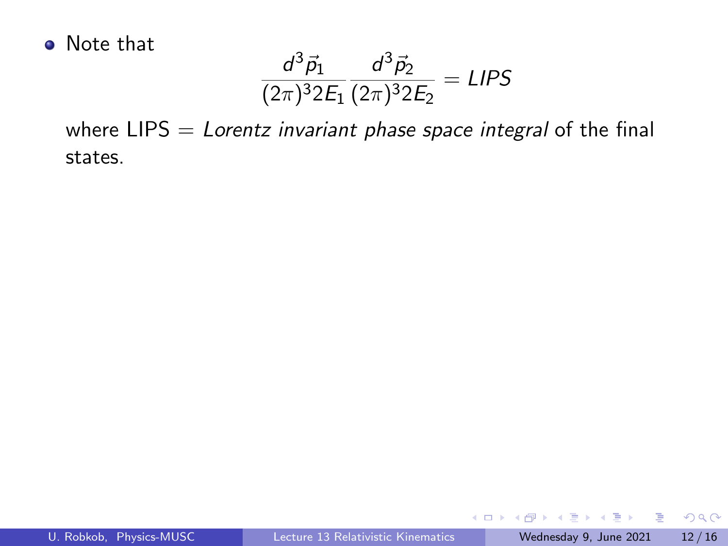• Note that

$$
\frac{d^3\vec{p}_1}{(2\pi)^3 2E_1} \frac{d^3\vec{p}_2}{(2\pi)^3 2E_2} = LIPS
$$

where  $LIPS = Lorentz$  invariant phase space integral of the final states.

÷.

 $299$ 

 $4$  ロ }  $4$   $\overline{m}$  }  $4$   $\overline{m}$  }  $4$   $\overline{m}$  }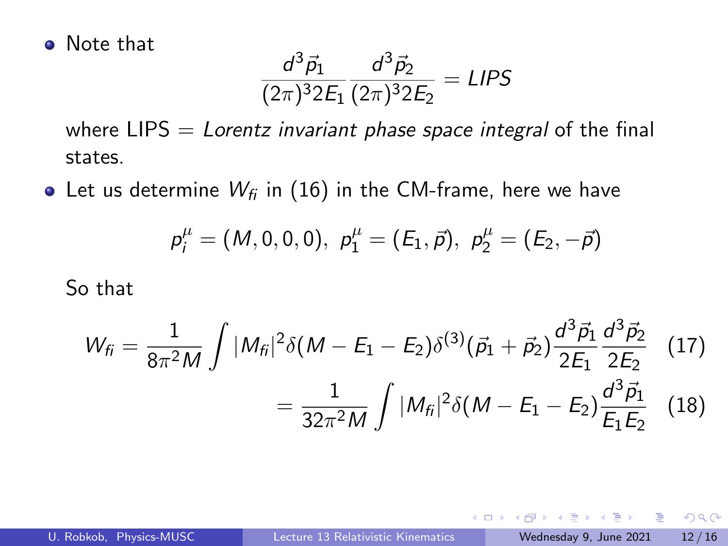• Note that

$$
\frac{d^3\vec{p}_1}{(2\pi)^3 2E_1} \frac{d^3\vec{p}_2}{(2\pi)^3 2E_2} = LIPS
$$

where  $LIPS = Lorentz$  invariant phase space integral of the final states.

• Let us determine  $W_{fi}$  in (16) in the CM-frame, here we have

$$
p_i^\mu=(M,0,0,0),\,\, p_1^\mu=(E_1,\vec{p}),\,\, p_2^\mu=(E_2,-\vec{p})
$$

So that

$$
W_{fi} = \frac{1}{8\pi^2 M} \int |M_{fi}|^2 \delta(M - E_1 - E_2) \delta^{(3)}(\vec{p}_1 + \vec{p}_2) \frac{d^3 \vec{p}_1}{2E_1} \frac{d^3 \vec{p}_2}{2E_2} \quad (17)
$$

$$
= \frac{1}{32\pi^2 M} \int |M_{fi}|^2 \delta(M - E_1 - E_2) \frac{d^3 \vec{p}_1}{E_1 E_2} \quad (18)
$$

4 0 F

э

 $QQ$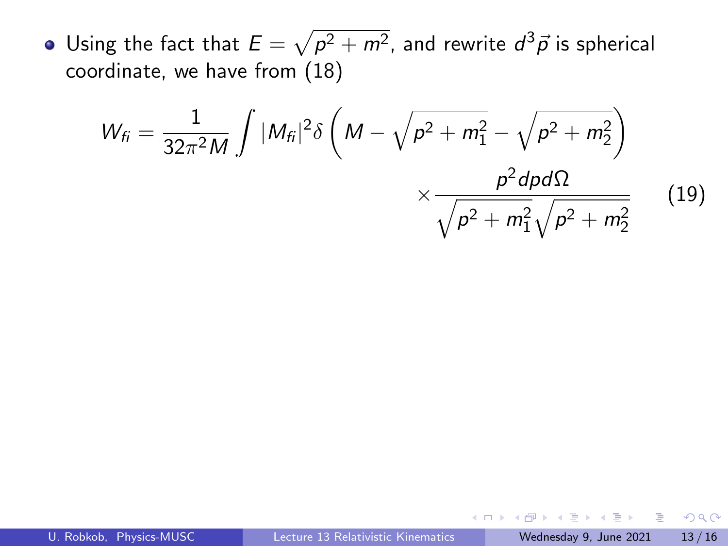Using the fact that  $E=\sqrt{\rho^2+m^2}$ , and rewrite  $d^3\vec p$  is spherical coordinate, we have from (18)

$$
W_{fi} = \frac{1}{32\pi^2 M} \int |M_{fi}|^2 \delta \left( M - \sqrt{p^2 + m_1^2} - \sqrt{p^2 + m_2^2} \right) \times \frac{p^2 d\rho d\Omega}{\sqrt{p^2 + m_1^2} \sqrt{p^2 + m_2^2}} \qquad (19)
$$

÷ **IN** 

**ALCOHOL:** 

4 0 8

 $QQ$ 

目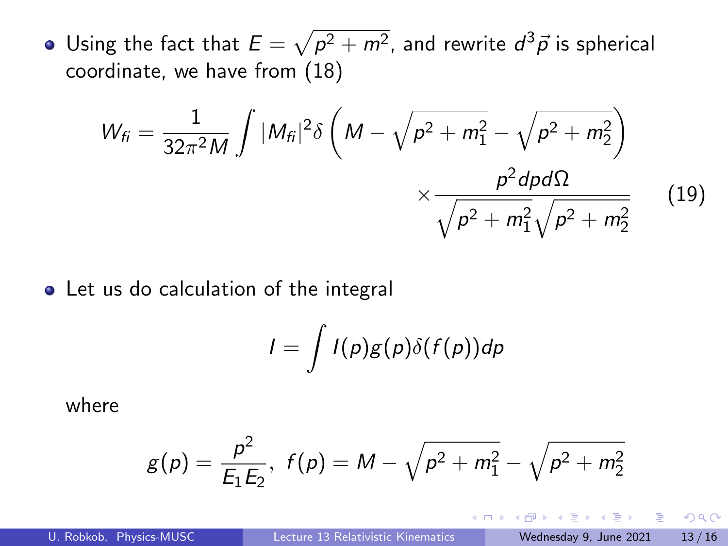Using the fact that  $E=\sqrt{\rho^2+m^2}$ , and rewrite  $d^3\vec p$  is spherical coordinate, we have from (18)

$$
W_{fi} = \frac{1}{32\pi^2 M} \int |M_{fi}|^2 \delta \left( M - \sqrt{p^2 + m_1^2} - \sqrt{p^2 + m_2^2} \right) \times \frac{p^2 dp d\Omega}{\sqrt{p^2 + m_1^2} \sqrt{p^2 + m_2^2}} \qquad (19)
$$

• Let us do calculation of the integral

$$
I=\int I(p)g(p)\delta(f(p))dp
$$

where

$$
g(p) = \frac{p^2}{E_1 E_2}, \ f(p) = M - \sqrt{p^2 + m_1^2} - \sqrt{p^2 + m_2^2}
$$

4 0 F

э

 $QQ$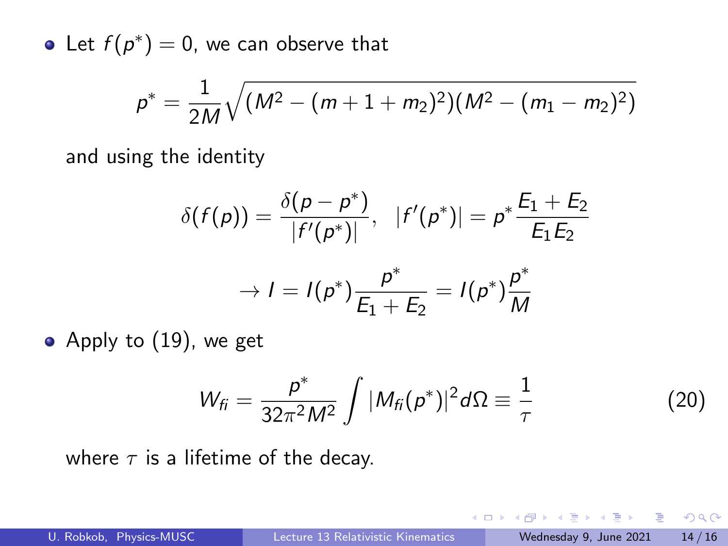Let  $f(p^*)=0$ , we can observe that

$$
p^* = \frac{1}{2M}\sqrt{(M^2 - (m+1+m_2)^2)(M^2 - (m_1 - m_2)^2)}
$$

and using the identity

$$
\delta(f(p)) = \frac{\delta(p - p^*)}{|f'(p^*)|}, \quad |f'(p^*)| = p^* \frac{E_1 + E_2}{E_1 E_2}
$$

$$
\rightarrow I = I(p^*) \frac{p^*}{E_1 + E_2} = I(p^*) \frac{p^*}{M}
$$

Apply to 
$$
(19)
$$
, we get

$$
W_{fi} = \frac{p^*}{32\pi^2 M^2} \int |M_{fi}(p^*)|^2 d\Omega \equiv \frac{1}{\tau}
$$
 (20)

 $\leftarrow$   $\Box$ 

where  $\tau$  is a lifetime of the decay.

 $\bullet$ 

 $\rightarrow$   $\equiv$   $\rightarrow$ - 3  $\Omega$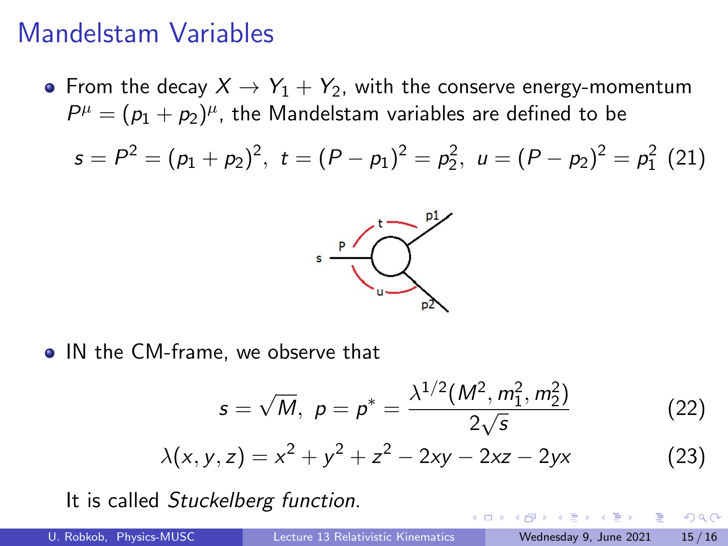#### Mandelstam Variables

• From the decay  $X \to Y_1 + Y_2$ , with the conserve energy-momentum  $P^\mu=(p_1+p_2)^\mu$ , the Mandelstam variables are defined to be

$$
s = P2 = (p1 + p2)2, t = (P - p1)2 = p22, u = (P - p2)2 = p12 (21)
$$



• IN the CM-frame, we observe that

$$
s = \sqrt{M}, \ \rho = \rho^* = \frac{\lambda^{1/2}(M^2, m_1^2, m_2^2)}{2\sqrt{s}} \tag{22}
$$

 $\leftarrow$   $\Box$ 

$$
\lambda(x, y, z) = x^2 + y^2 + z^2 - 2xy - 2xz - 2yx
$$
 (23)

It is called Stuckelberg function.